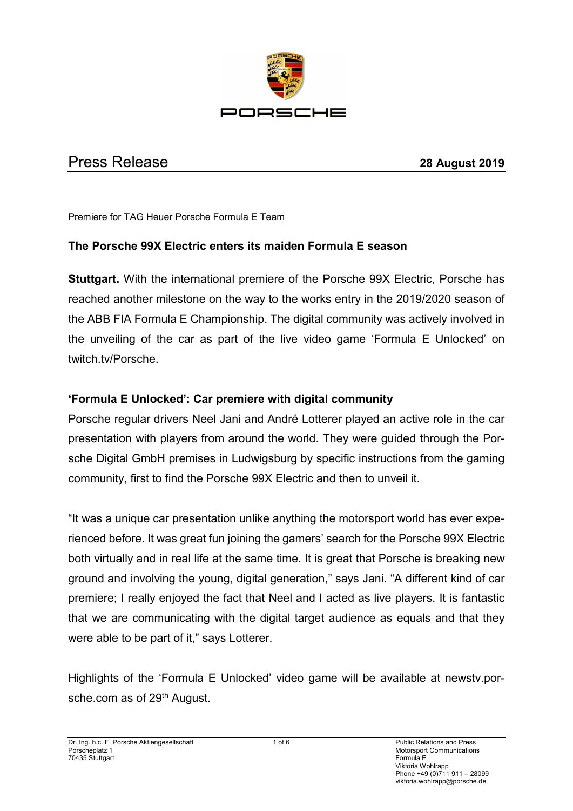

# Press Release **28 August 2019**

#### Premiere for TAG Heuer Porsche Formula E Team

#### **The Porsche 99X Electric enters its maiden Formula E season**

**Stuttgart.** With the international premiere of the Porsche 99X Electric, Porsche has reached another milestone on the way to the works entry in the 2019/2020 season of the ABB FIA Formula E Championship. The digital community was actively involved in the unveiling of the car as part of the live video game 'Formula E Unlocked' on twitch.tv/Porsche.

### **'Formula E Unlocked': Car premiere with digital community**

Porsche regular drivers Neel Jani and André Lotterer played an active role in the car presentation with players from around the world. They were guided through the Porsche Digital GmbH premises in Ludwigsburg by specific instructions from the gaming community, first to find the Porsche 99X Electric and then to unveil it.

"It was a unique car presentation unlike anything the motorsport world has ever experienced before. It was great fun joining the gamers' search for the Porsche 99X Electric both virtually and in real life at the same time. It is great that Porsche is breaking new ground and involving the young, digital generation," says Jani. "A different kind of car premiere; I really enjoyed the fact that Neel and I acted as live players. It is fantastic that we are communicating with the digital target audience as equals and that they were able to be part of it," says Lotterer.

Highlights of the 'Formula E Unlocked' video game will be available at newstv.porsche.com as of 29<sup>th</sup> August.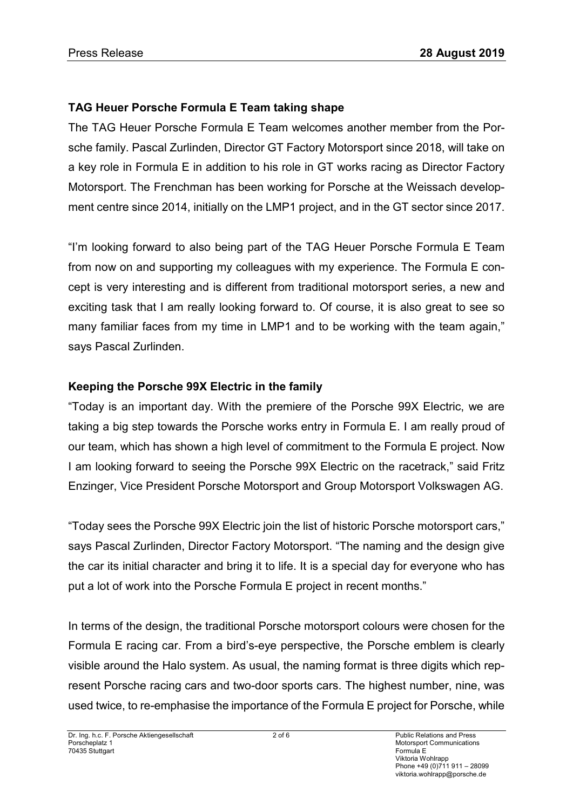# **TAG Heuer Porsche Formula E Team taking shape**

The TAG Heuer Porsche Formula E Team welcomes another member from the Porsche family. Pascal Zurlinden, Director GT Factory Motorsport since 2018, will take on a key role in Formula E in addition to his role in GT works racing as Director Factory Motorsport. The Frenchman has been working for Porsche at the Weissach development centre since 2014, initially on the LMP1 project, and in the GT sector since 2017.

"I'm looking forward to also being part of the TAG Heuer Porsche Formula E Team from now on and supporting my colleagues with my experience. The Formula E concept is very interesting and is different from traditional motorsport series, a new and exciting task that I am really looking forward to. Of course, it is also great to see so many familiar faces from my time in LMP1 and to be working with the team again," says Pascal Zurlinden.

# **Keeping the Porsche 99X Electric in the family**

"Today is an important day. With the premiere of the Porsche 99X Electric, we are taking a big step towards the Porsche works entry in Formula E. I am really proud of our team, which has shown a high level of commitment to the Formula E project. Now I am looking forward to seeing the Porsche 99X Electric on the racetrack," said Fritz Enzinger, Vice President Porsche Motorsport and Group Motorsport Volkswagen AG.

"Today sees the Porsche 99X Electric join the list of historic Porsche motorsport cars," says Pascal Zurlinden, Director Factory Motorsport. "The naming and the design give the car its initial character and bring it to life. It is a special day for everyone who has put a lot of work into the Porsche Formula E project in recent months."

In terms of the design, the traditional Porsche motorsport colours were chosen for the Formula E racing car. From a bird's-eye perspective, the Porsche emblem is clearly visible around the Halo system. As usual, the naming format is three digits which represent Porsche racing cars and two-door sports cars. The highest number, nine, was used twice, to re-emphasise the importance of the Formula E project for Porsche, while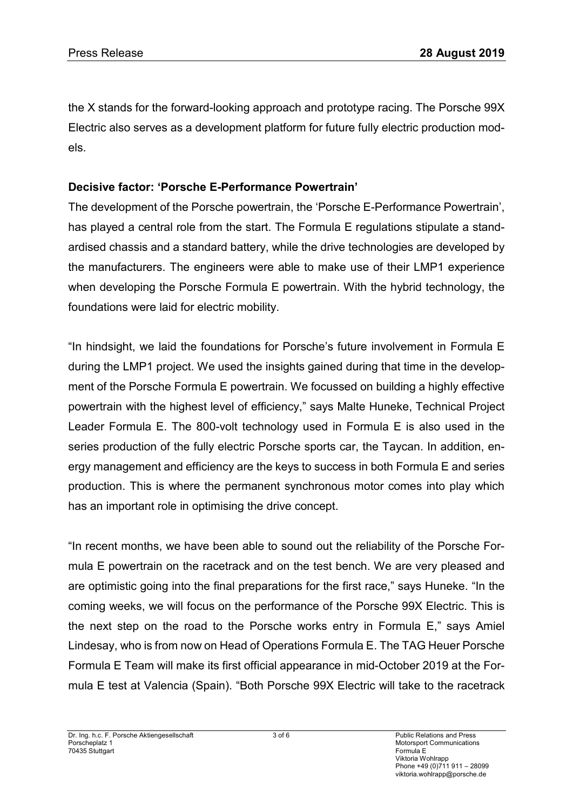the X stands for the forward-looking approach and prototype racing. The Porsche 99X Electric also serves as a development platform for future fully electric production models.

### **Decisive factor: 'Porsche E-Performance Powertrain'**

The development of the Porsche powertrain, the 'Porsche E-Performance Powertrain', has played a central role from the start. The Formula E regulations stipulate a standardised chassis and a standard battery, while the drive technologies are developed by the manufacturers. The engineers were able to make use of their LMP1 experience when developing the Porsche Formula E powertrain. With the hybrid technology, the foundations were laid for electric mobility.

"In hindsight, we laid the foundations for Porsche's future involvement in Formula E during the LMP1 project. We used the insights gained during that time in the development of the Porsche Formula E powertrain. We focussed on building a highly effective powertrain with the highest level of efficiency," says Malte Huneke, Technical Project Leader Formula E. The 800-volt technology used in Formula E is also used in the series production of the fully electric Porsche sports car, the Taycan. In addition, energy management and efficiency are the keys to success in both Formula E and series production. This is where the permanent synchronous motor comes into play which has an important role in optimising the drive concept.

"In recent months, we have been able to sound out the reliability of the Porsche Formula E powertrain on the racetrack and on the test bench. We are very pleased and are optimistic going into the final preparations for the first race," says Huneke. "In the coming weeks, we will focus on the performance of the Porsche 99X Electric. This is the next step on the road to the Porsche works entry in Formula E," says Amiel Lindesay, who is from now on Head of Operations Formula E. The TAG Heuer Porsche Formula E Team will make its first official appearance in mid-October 2019 at the Formula E test at Valencia (Spain). "Both Porsche 99X Electric will take to the racetrack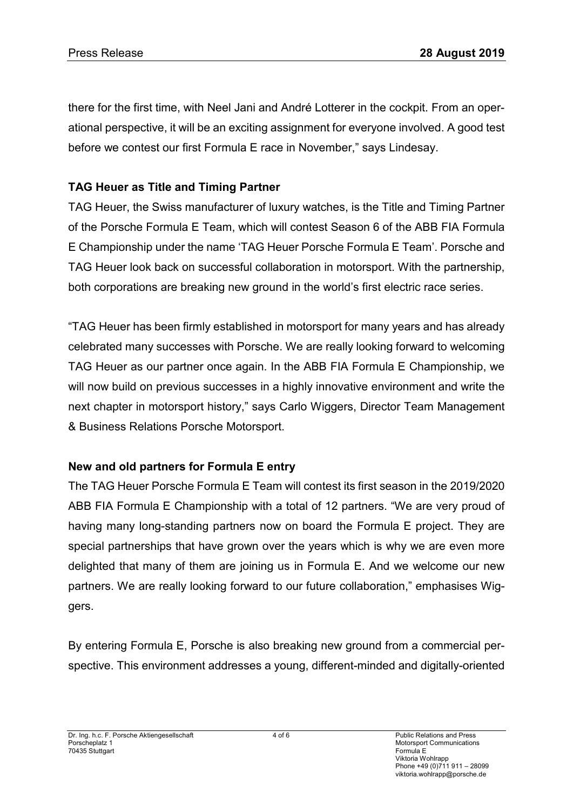there for the first time, with Neel Jani and André Lotterer in the cockpit. From an operational perspective, it will be an exciting assignment for everyone involved. A good test before we contest our first Formula E race in November," says Lindesay.

# **TAG Heuer as Title and Timing Partner**

TAG Heuer, the Swiss manufacturer of luxury watches, is the Title and Timing Partner of the Porsche Formula E Team, which will contest Season 6 of the ABB FIA Formula E Championship under the name 'TAG Heuer Porsche Formula E Team'. Porsche and TAG Heuer look back on successful collaboration in motorsport. With the partnership, both corporations are breaking new ground in the world's first electric race series.

"TAG Heuer has been firmly established in motorsport for many years and has already celebrated many successes with Porsche. We are really looking forward to welcoming TAG Heuer as our partner once again. In the ABB FIA Formula E Championship, we will now build on previous successes in a highly innovative environment and write the next chapter in motorsport history," says Carlo Wiggers, Director Team Management & Business Relations Porsche Motorsport.

# **New and old partners for Formula E entry**

The TAG Heuer Porsche Formula E Team will contest its first season in the 2019/2020 ABB FIA Formula E Championship with a total of 12 partners. "We are very proud of having many long-standing partners now on board the Formula E project. They are special partnerships that have grown over the years which is why we are even more delighted that many of them are joining us in Formula E. And we welcome our new partners. We are really looking forward to our future collaboration," emphasises Wiggers.

By entering Formula E, Porsche is also breaking new ground from a commercial perspective. This environment addresses a young, different-minded and digitally-oriented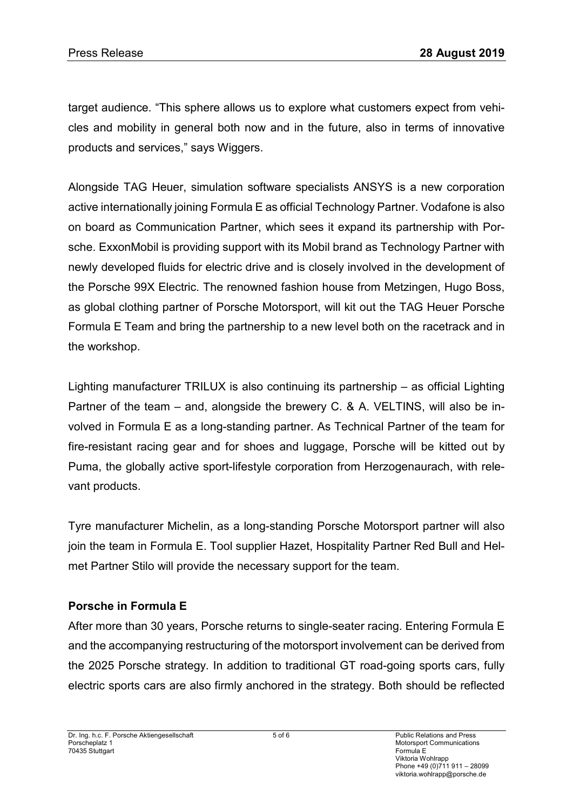target audience. "This sphere allows us to explore what customers expect from vehicles and mobility in general both now and in the future, also in terms of innovative products and services," says Wiggers.

Alongside TAG Heuer, simulation software specialists ANSYS is a new corporation active internationally joining Formula E as official Technology Partner. Vodafone is also on board as Communication Partner, which sees it expand its partnership with Porsche. ExxonMobil is providing support with its Mobil brand as Technology Partner with newly developed fluids for electric drive and is closely involved in the development of the Porsche 99X Electric. The renowned fashion house from Metzingen, Hugo Boss, as global clothing partner of Porsche Motorsport, will kit out the TAG Heuer Porsche Formula E Team and bring the partnership to a new level both on the racetrack and in the workshop.

Lighting manufacturer TRILUX is also continuing its partnership – as official Lighting Partner of the team – and, alongside the brewery C. & A. VELTINS, will also be involved in Formula E as a long-standing partner. As Technical Partner of the team for fire-resistant racing gear and for shoes and luggage, Porsche will be kitted out by Puma, the globally active sport-lifestyle corporation from Herzogenaurach, with relevant products.

Tyre manufacturer Michelin, as a long-standing Porsche Motorsport partner will also join the team in Formula E. Tool supplier Hazet, Hospitality Partner Red Bull and Helmet Partner Stilo will provide the necessary support for the team.

## **Porsche in Formula E**

After more than 30 years, Porsche returns to single-seater racing. Entering Formula E and the accompanying restructuring of the motorsport involvement can be derived from the 2025 Porsche strategy. In addition to traditional GT road-going sports cars, fully electric sports cars are also firmly anchored in the strategy. Both should be reflected